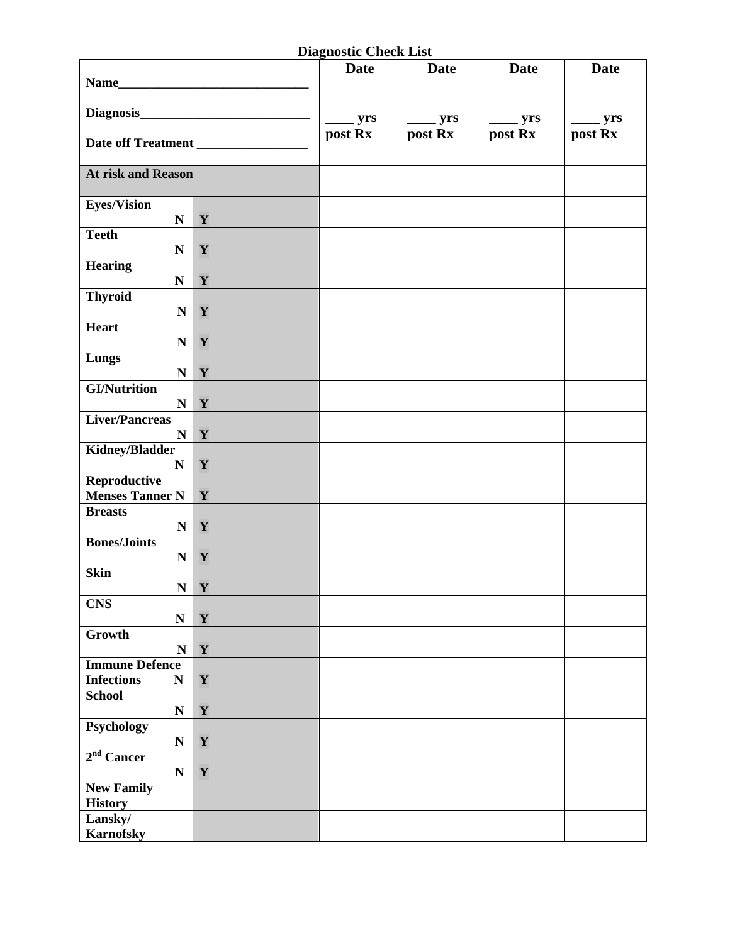## **Diagnostic Check List**

|                                                         |              | <b>Date</b>                                                                                                                                                                                                                                                                                                                                                                                                          | <b>Date</b>                                                                                                                                                                                                                                                                                                                                                                                                          | <b>Date</b>  | <b>Date</b>  |
|---------------------------------------------------------|--------------|----------------------------------------------------------------------------------------------------------------------------------------------------------------------------------------------------------------------------------------------------------------------------------------------------------------------------------------------------------------------------------------------------------------------|----------------------------------------------------------------------------------------------------------------------------------------------------------------------------------------------------------------------------------------------------------------------------------------------------------------------------------------------------------------------------------------------------------------------|--------------|--------------|
|                                                         |              |                                                                                                                                                                                                                                                                                                                                                                                                                      |                                                                                                                                                                                                                                                                                                                                                                                                                      |              |              |
|                                                         |              | $\frac{1}{\sqrt{1-\frac{1}{2}}\sqrt{1-\frac{1}{2}}\sqrt{1-\frac{1}{2}}\sqrt{1-\frac{1}{2}}\sqrt{1-\frac{1}{2}}\sqrt{1-\frac{1}{2}}\sqrt{1-\frac{1}{2}}\sqrt{1-\frac{1}{2}}\sqrt{1-\frac{1}{2}}\sqrt{1-\frac{1}{2}}\sqrt{1-\frac{1}{2}}\sqrt{1-\frac{1}{2}}\sqrt{1-\frac{1}{2}}\sqrt{1-\frac{1}{2}}\sqrt{1-\frac{1}{2}}\sqrt{1-\frac{1}{2}}\sqrt{1-\frac{1}{2}}\sqrt{1-\frac{1}{2}}\sqrt{1-\frac{1}{2}}\sqrt{1-\frac$ | $\frac{1}{\sqrt{1-\frac{1}{2}}\sqrt{1-\frac{1}{2}}\sqrt{1-\frac{1}{2}}\sqrt{1-\frac{1}{2}}\sqrt{1-\frac{1}{2}}\sqrt{1-\frac{1}{2}}\sqrt{1-\frac{1}{2}}\sqrt{1-\frac{1}{2}}\sqrt{1-\frac{1}{2}}\sqrt{1-\frac{1}{2}}\sqrt{1-\frac{1}{2}}\sqrt{1-\frac{1}{2}}\sqrt{1-\frac{1}{2}}\sqrt{1-\frac{1}{2}}\sqrt{1-\frac{1}{2}}\sqrt{1-\frac{1}{2}}\sqrt{1-\frac{1}{2}}\sqrt{1-\frac{1}{2}}\sqrt{1-\frac{1}{2}}\sqrt{1-\frac$ | $\equiv$ yrs | $\equiv$ yrs |
|                                                         |              | post Rx                                                                                                                                                                                                                                                                                                                                                                                                              | post Rx                                                                                                                                                                                                                                                                                                                                                                                                              | post Rx      | post Rx      |
| <b>At risk and Reason</b>                               |              |                                                                                                                                                                                                                                                                                                                                                                                                                      |                                                                                                                                                                                                                                                                                                                                                                                                                      |              |              |
| <b>Eyes/Vision</b><br>$\mathbf N$                       | Y            |                                                                                                                                                                                                                                                                                                                                                                                                                      |                                                                                                                                                                                                                                                                                                                                                                                                                      |              |              |
| <b>Teeth</b><br>${\bf N}$                               | Y            |                                                                                                                                                                                                                                                                                                                                                                                                                      |                                                                                                                                                                                                                                                                                                                                                                                                                      |              |              |
| <b>Hearing</b>                                          | $N$   $Y$    |                                                                                                                                                                                                                                                                                                                                                                                                                      |                                                                                                                                                                                                                                                                                                                                                                                                                      |              |              |
| <b>Thyroid</b>                                          | $N$ $Y$      |                                                                                                                                                                                                                                                                                                                                                                                                                      |                                                                                                                                                                                                                                                                                                                                                                                                                      |              |              |
| <b>Heart</b>                                            | N   Y        |                                                                                                                                                                                                                                                                                                                                                                                                                      |                                                                                                                                                                                                                                                                                                                                                                                                                      |              |              |
| Lungs                                                   | $N$   $Y$    |                                                                                                                                                                                                                                                                                                                                                                                                                      |                                                                                                                                                                                                                                                                                                                                                                                                                      |              |              |
| <b>GI/Nutrition</b><br>$\mathbf{N}$                     | Y            |                                                                                                                                                                                                                                                                                                                                                                                                                      |                                                                                                                                                                                                                                                                                                                                                                                                                      |              |              |
| <b>Liver/Pancreas</b><br>$\mathbf{N}$                   | $\mathbf{Y}$ |                                                                                                                                                                                                                                                                                                                                                                                                                      |                                                                                                                                                                                                                                                                                                                                                                                                                      |              |              |
| <b>Kidney/Bladder</b><br>$\mathbf N$                    | Y            |                                                                                                                                                                                                                                                                                                                                                                                                                      |                                                                                                                                                                                                                                                                                                                                                                                                                      |              |              |
| Reproductive<br><b>Menses Tanner N</b>                  | Y            |                                                                                                                                                                                                                                                                                                                                                                                                                      |                                                                                                                                                                                                                                                                                                                                                                                                                      |              |              |
| <b>Breasts</b><br>$\mathbf{N}$                          | $\mathbf{Y}$ |                                                                                                                                                                                                                                                                                                                                                                                                                      |                                                                                                                                                                                                                                                                                                                                                                                                                      |              |              |
| <b>Bones/Joints</b><br>$\mathbf N$                      | Y            |                                                                                                                                                                                                                                                                                                                                                                                                                      |                                                                                                                                                                                                                                                                                                                                                                                                                      |              |              |
| <b>Skin</b>                                             | $N \mid Y$   |                                                                                                                                                                                                                                                                                                                                                                                                                      |                                                                                                                                                                                                                                                                                                                                                                                                                      |              |              |
| <b>CNS</b><br>${\bf N}$                                 | Y            |                                                                                                                                                                                                                                                                                                                                                                                                                      |                                                                                                                                                                                                                                                                                                                                                                                                                      |              |              |
| Growth<br>$\mathbf N$                                   | Y            |                                                                                                                                                                                                                                                                                                                                                                                                                      |                                                                                                                                                                                                                                                                                                                                                                                                                      |              |              |
| <b>Immune Defence</b><br><b>Infections</b><br>${\bf N}$ | Y            |                                                                                                                                                                                                                                                                                                                                                                                                                      |                                                                                                                                                                                                                                                                                                                                                                                                                      |              |              |
| <b>School</b><br>${\bf N}$                              | Y            |                                                                                                                                                                                                                                                                                                                                                                                                                      |                                                                                                                                                                                                                                                                                                                                                                                                                      |              |              |
| Psychology<br>${\bf N}$                                 | Y            |                                                                                                                                                                                                                                                                                                                                                                                                                      |                                                                                                                                                                                                                                                                                                                                                                                                                      |              |              |
| 2 <sup>nd</sup> Cancer<br>${\bf N}$                     | Y            |                                                                                                                                                                                                                                                                                                                                                                                                                      |                                                                                                                                                                                                                                                                                                                                                                                                                      |              |              |
| <b>New Family</b><br><b>History</b>                     |              |                                                                                                                                                                                                                                                                                                                                                                                                                      |                                                                                                                                                                                                                                                                                                                                                                                                                      |              |              |
| Lansky $\sqrt{ }$<br><b>Karnofsky</b>                   |              |                                                                                                                                                                                                                                                                                                                                                                                                                      |                                                                                                                                                                                                                                                                                                                                                                                                                      |              |              |